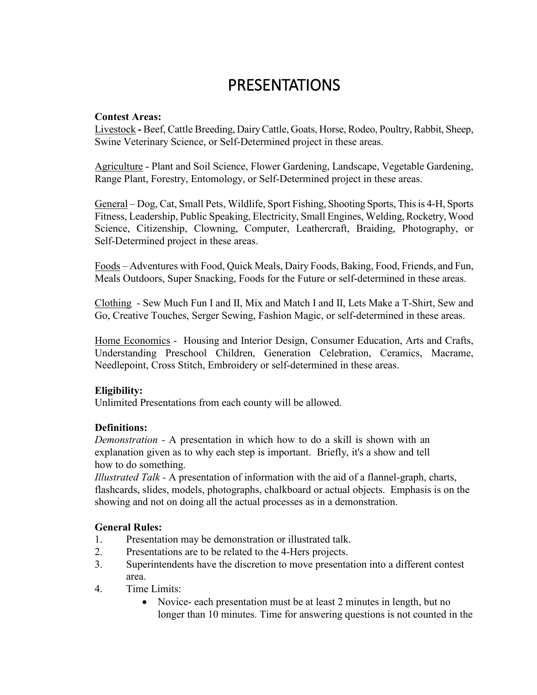# PRESENTATIONS

#### **Contest Areas:**

Livestock **-** Beef, Cattle Breeding, Dairy Cattle, Goats, Horse, Rodeo, Poultry, Rabbit, Sheep, Swine Veterinary Science, or Self-Determined project in these areas.

Agriculture - Plant and Soil Science, Flower Gardening, Landscape, Vegetable Gardening, Range Plant, Forestry, Entomology, or Self-Determined project in these areas.

General – Dog, Cat, Small Pets, Wildlife, Sport Fishing, Shooting Sports, This is 4-H, Sports Fitness, Leadership, Public Speaking, Electricity, Small Engines, Welding, Rocketry, Wood Science, Citizenship, Clowning, Computer, Leathercraft, Braiding, Photography, or Self-Determined project in these areas.

Foods – Adventures with Food, Quick Meals, Dairy Foods, Baking, Food, Friends, and Fun, Meals Outdoors, Super Snacking, Foods for the Future or self-determined in these areas.

Clothing - Sew Much Fun I and II, Mix and Match I and II, Lets Make a T-Shirt, Sew and Go, Creative Touches, Serger Sewing, Fashion Magic, or self-determined in these areas.

Home Economics - Housing and Interior Design, Consumer Education, Arts and Crafts, Understanding Preschool Children, Generation Celebration, Ceramics, Macrame, Needlepoint, Cross Stitch, Embroidery or self-determined in these areas.

### **Eligibility:**

Unlimited Presentations from each county will be allowed.

### **Definitions:**

*Demonstration -* A presentation in which how to do a skill is shown with an explanation given as to why each step is important. Briefly, it's a show and tell how to do something.

*Illustrated Talk -* A presentation of information with the aid of a flannel-graph, charts, flashcards, slides, models, photographs, chalkboard or actual objects. Emphasis is on the showing and not on doing all the actual processes as in a demonstration.

### **General Rules:**

- 1. Presentation may be demonstration or illustrated talk.
- 2. Presentations are to be related to the 4-Hers projects.
- 3. Superintendents have the discretion to move presentation into a different contest area.
- 4. Time Limits:
	- Novice- each presentation must be at least 2 minutes in length, but no longer than 10 minutes. Time for answering questions is not counted in the